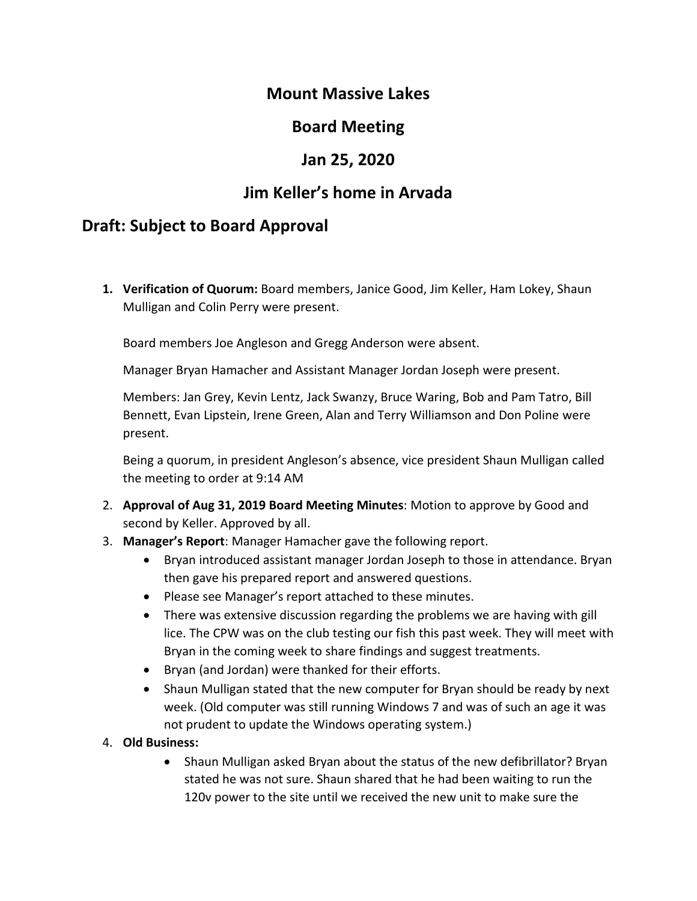# **Mount Massive Lakes**

# **Board Meeting**

# **Jan 25, 2020**

# **Jim Keller's home in Arvada**

# **Draft: Subject to Board Approval**

**1. Verification of Quorum:** Board members, Janice Good, Jim Keller, Ham Lokey, Shaun Mulligan and Colin Perry were present.

Board members Joe Angleson and Gregg Anderson were absent.

Manager Bryan Hamacher and Assistant Manager Jordan Joseph were present.

Members: Jan Grey, Kevin Lentz, Jack Swanzy, Bruce Waring, Bob and Pam Tatro, Bill Bennett, Evan Lipstein, Irene Green, Alan and Terry Williamson and Don Poline were present.

Being a quorum, in president Angleson's absence, vice president Shaun Mulligan called the meeting to order at 9:14 AM

- 2. **Approval of Aug 31, 2019 Board Meeting Minutes**: Motion to approve by Good and second by Keller. Approved by all.
- 3. **Manager's Report**: Manager Hamacher gave the following report.
	- Bryan introduced assistant manager Jordan Joseph to those in attendance. Bryan then gave his prepared report and answered questions.
	- Please see Manager's report attached to these minutes.
	- There was extensive discussion regarding the problems we are having with gill lice. The CPW was on the club testing our fish this past week. They will meet with Bryan in the coming week to share findings and suggest treatments.
	- Bryan (and Jordan) were thanked for their efforts.
	- Shaun Mulligan stated that the new computer for Bryan should be ready by next week. (Old computer was still running Windows 7 and was of such an age it was not prudent to update the Windows operating system.)

#### 4. **Old Business:**

• Shaun Mulligan asked Bryan about the status of the new defibrillator? Bryan stated he was not sure. Shaun shared that he had been waiting to run the 120v power to the site until we received the new unit to make sure the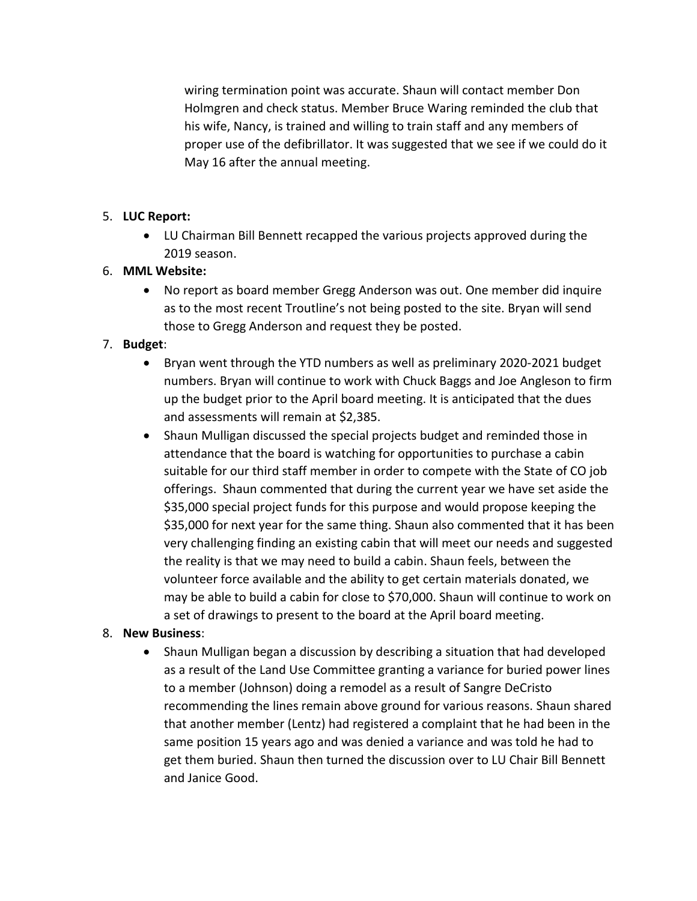wiring termination point was accurate. Shaun will contact member Don Holmgren and check status. Member Bruce Waring reminded the club that his wife, Nancy, is trained and willing to train staff and any members of proper use of the defibrillator. It was suggested that we see if we could do it May 16 after the annual meeting.

## 5. **LUC Report:**

• LU Chairman Bill Bennett recapped the various projects approved during the 2019 season.

## 6. **MML Website:**

• No report as board member Gregg Anderson was out. One member did inquire as to the most recent Troutline's not being posted to the site. Bryan will send those to Gregg Anderson and request they be posted.

## 7. **Budget**:

- Bryan went through the YTD numbers as well as preliminary 2020-2021 budget numbers. Bryan will continue to work with Chuck Baggs and Joe Angleson to firm up the budget prior to the April board meeting. It is anticipated that the dues and assessments will remain at \$2,385.
- Shaun Mulligan discussed the special projects budget and reminded those in attendance that the board is watching for opportunities to purchase a cabin suitable for our third staff member in order to compete with the State of CO job offerings. Shaun commented that during the current year we have set aside the \$35,000 special project funds for this purpose and would propose keeping the \$35,000 for next year for the same thing. Shaun also commented that it has been very challenging finding an existing cabin that will meet our needs and suggested the reality is that we may need to build a cabin. Shaun feels, between the volunteer force available and the ability to get certain materials donated, we may be able to build a cabin for close to \$70,000. Shaun will continue to work on a set of drawings to present to the board at the April board meeting.

## 8. **New Business**:

• Shaun Mulligan began a discussion by describing a situation that had developed as a result of the Land Use Committee granting a variance for buried power lines to a member (Johnson) doing a remodel as a result of Sangre DeCristo recommending the lines remain above ground for various reasons. Shaun shared that another member (Lentz) had registered a complaint that he had been in the same position 15 years ago and was denied a variance and was told he had to get them buried. Shaun then turned the discussion over to LU Chair Bill Bennett and Janice Good.